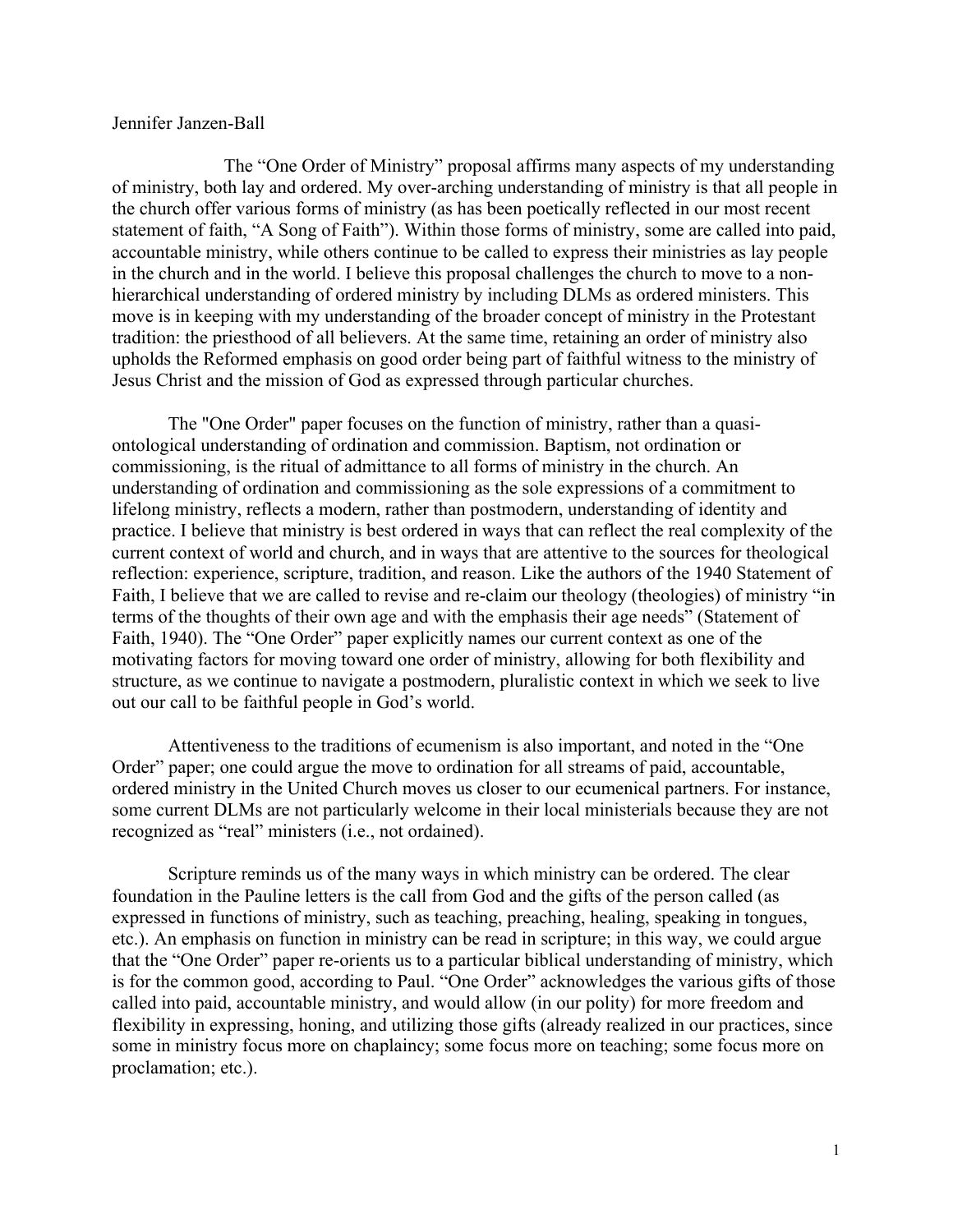## Jennifer Janzen-Ball

The "One Order of Ministry" proposal affirms many aspects of my understanding of ministry, both lay and ordered. My over-arching understanding of ministry is that all people in the church offer various forms of ministry (as has been poetically reflected in our most recent statement of faith, "A Song of Faith"). Within those forms of ministry, some are called into paid, accountable ministry, while others continue to be called to express their ministries as lay people in the church and in the world. I believe this proposal challenges the church to move to a nonhierarchical understanding of ordered ministry by including DLMs as ordered ministers. This move is in keeping with my understanding of the broader concept of ministry in the Protestant tradition: the priesthood of all believers. At the same time, retaining an order of ministry also upholds the Reformed emphasis on good order being part of faithful witness to the ministry of Jesus Christ and the mission of God as expressed through particular churches.

The "One Order" paper focuses on the function of ministry, rather than a quasiontological understanding of ordination and commission. Baptism, not ordination or commissioning, is the ritual of admittance to all forms of ministry in the church. An understanding of ordination and commissioning as the sole expressions of a commitment to lifelong ministry, reflects a modern, rather than postmodern, understanding of identity and practice. I believe that ministry is best ordered in ways that can reflect the real complexity of the current context of world and church, and in ways that are attentive to the sources for theological reflection: experience, scripture, tradition, and reason. Like the authors of the 1940 Statement of Faith, I believe that we are called to revise and re-claim our theology (theologies) of ministry "in terms of the thoughts of their own age and with the emphasis their age needs" (Statement of Faith, 1940). The "One Order" paper explicitly names our current context as one of the motivating factors for moving toward one order of ministry, allowing for both flexibility and structure, as we continue to navigate a postmodern, pluralistic context in which we seek to live out our call to be faithful people in God's world.

Attentiveness to the traditions of ecumenism is also important, and noted in the "One Order" paper; one could argue the move to ordination for all streams of paid, accountable, ordered ministry in the United Church moves us closer to our ecumenical partners. For instance, some current DLMs are not particularly welcome in their local ministerials because they are not recognized as "real" ministers (i.e., not ordained).

Scripture reminds us of the many ways in which ministry can be ordered. The clear foundation in the Pauline letters is the call from God and the gifts of the person called (as expressed in functions of ministry, such as teaching, preaching, healing, speaking in tongues, etc.). An emphasis on function in ministry can be read in scripture; in this way, we could argue that the "One Order" paper re-orients us to a particular biblical understanding of ministry, which is for the common good, according to Paul. "One Order" acknowledges the various gifts of those called into paid, accountable ministry, and would allow (in our polity) for more freedom and flexibility in expressing, honing, and utilizing those gifts (already realized in our practices, since some in ministry focus more on chaplaincy; some focus more on teaching; some focus more on proclamation; etc.).